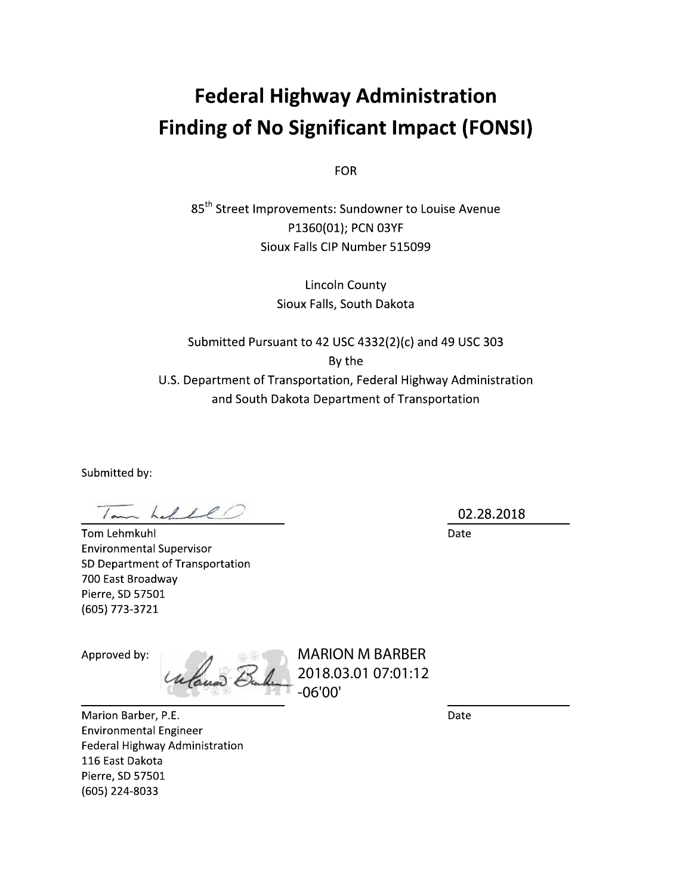# **Federal Highway Administration Finding of No Significant Impact (FONSI)**

**FOR** 

85<sup>th</sup> Street Improvements: Sundowner to Louise Avenue P1360(01); PCN 03YF Sioux Falls CIP Number 515099

> **Lincoln County** Sioux Falls, South Dakota

Submitted Pursuant to 42 USC 4332(2)(c) and 49 USC 303 By the U.S. Department of Transportation, Federal Highway Administration and South Dakota Department of Transportation

Submitted by:

Iam had 1l

Tom Lehmkuhl **Environmental Supervisor** SD Department of Transportation 700 East Broadway Pierre, SD 57501 (605) 773-3721

Approved by:

Unland 2

**MARION M BARBER** 2018.03.01 07:01:12  $-06'00'$ 

Date

Marion Barber, P.E. **Environmental Engineer** Federal Highway Administration 116 East Dakota Pierre, SD 57501 (605) 224-8033

02.28.2018

Date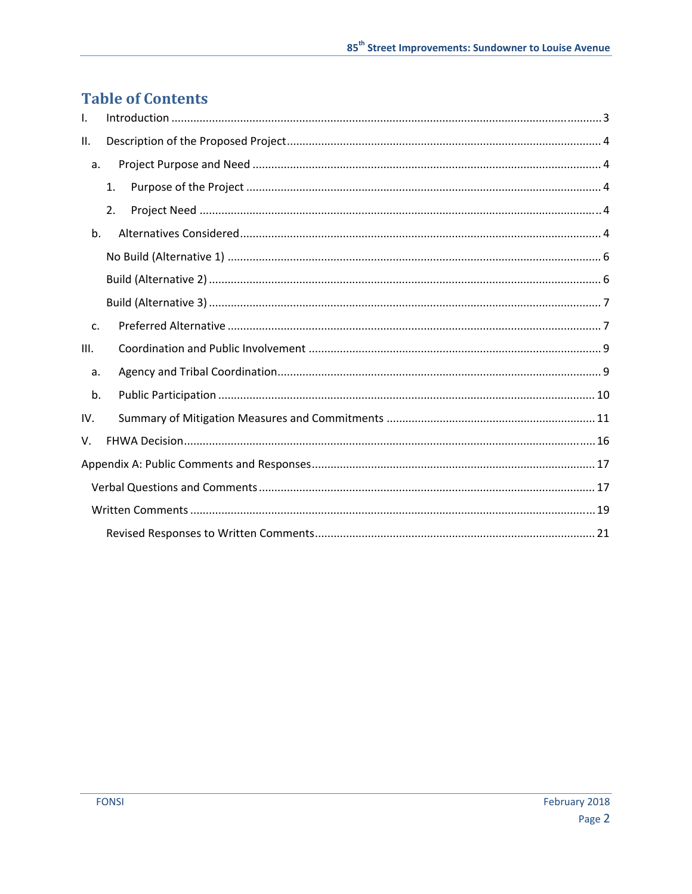# **Table of Contents**

| $\mathbf{I}$ . |    |  |  |
|----------------|----|--|--|
| II.            |    |  |  |
| a.             |    |  |  |
|                | 1. |  |  |
|                | 2. |  |  |
| b.             |    |  |  |
|                |    |  |  |
|                |    |  |  |
|                |    |  |  |
| $C_{\cdot}$    |    |  |  |
| III.           |    |  |  |
| a.             |    |  |  |
| b.             |    |  |  |
| IV.            |    |  |  |
| V.             |    |  |  |
|                |    |  |  |
|                |    |  |  |
|                |    |  |  |
|                |    |  |  |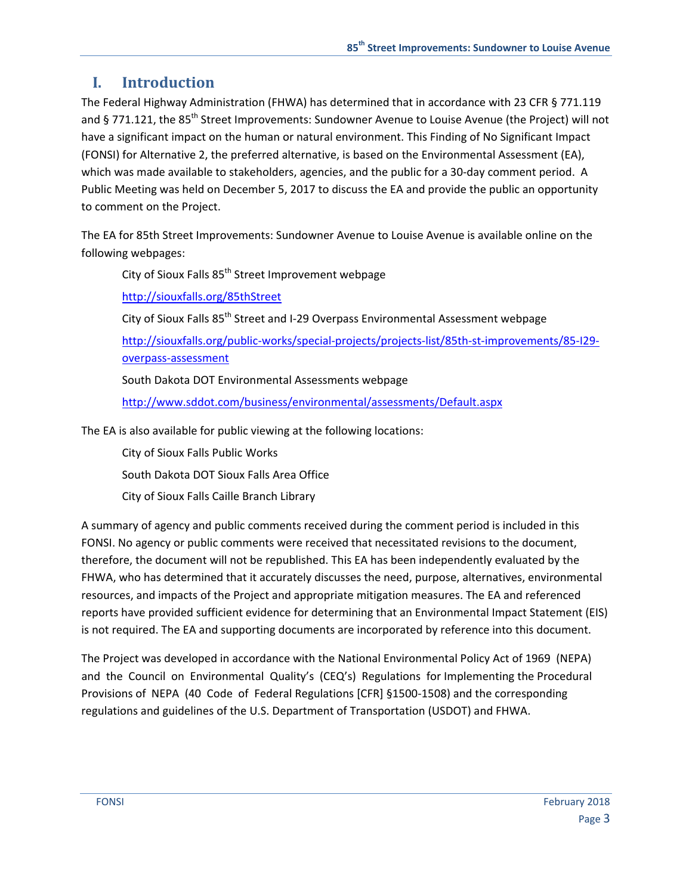# **I. Introduction**

The Federal Highway Administration (FHWA) has determined that in accordance with 23 CFR § 771.119 and § 771.121, the 85<sup>th</sup> Street Improvements: Sundowner Avenue to Louise Avenue (the Project) will not have a significant impact on the human or natural environment. This Finding of No Significant Impact (FONSI) for Alternative 2, the preferred alternative, is based on the Environmental Assessment (EA), which was made available to stakeholders, agencies, and the public for a 30-day comment period. A Public Meeting was held on December 5, 2017 to discuss the EA and provide the public an opportunity to comment on the Project.

The EA for 85th Street Improvements: Sundowner Avenue to Louise Avenue is available online on the following webpages:

City of Sioux Falls 85<sup>th</sup> Street Improvement webpage

http://siouxfalls.org/85thStreet

City of Sioux Falls 85<sup>th</sup> Street and I-29 Overpass Environmental Assessment webpage [http://siouxfalls.org/public](http://siouxfalls.org/public-works/special-projects/projects-list/85th-st-improvements/85-I29-overpass-assessment)‐works/special‐projects/projects‐list/85th‐st‐improvements/85‐I29‐ overpass‐assessment

South Dakota DOT Environmental Assessments webpage

http://www.sddot.com/business/environmental/assessments/Default.aspx

The EA is also available for public viewing at the following locations:

City of Sioux Falls Public Works

South Dakota DOT Sioux Falls Area Office

City of Sioux Falls Caille Branch Library

A summary of agency and public comments received during the comment period is included in this FONSI. No agency or public comments were received that necessitated revisions to the document, therefore, the document will not be republished. This EA has been independently evaluated by the FHWA, who has determined that it accurately discusses the need, purpose, alternatives, environmental resources, and impacts of the Project and appropriate mitigation measures. The EA and referenced reports have provided sufficient evidence for determining that an Environmental Impact Statement (EIS) is not required. The EA and supporting documents are incorporated by reference into this document.

The Project was developed in accordance with the National Environmental Policy Act of 1969 (NEPA) and the Council on Environmental Quality's (CEQ's) Regulations for Implementing the Procedural Provisions of NEPA (40 Code of Federal Regulations [CFR] §1500‐1508) and the corresponding regulations and guidelines of the U.S. Department of Transportation (USDOT) and FHWA.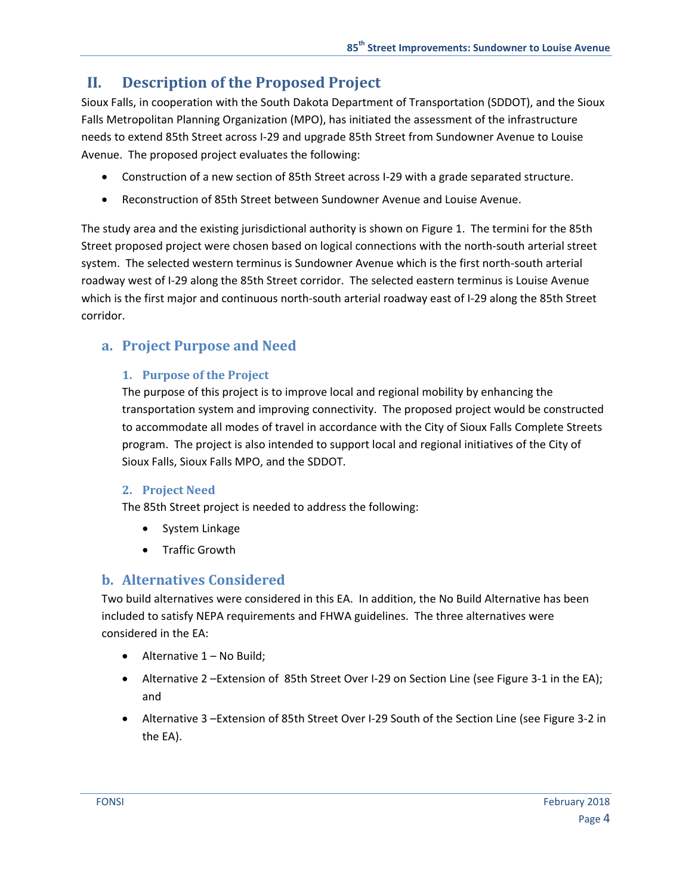# **II. Description of the Proposed Project**

Sioux Falls, in cooperation with the South Dakota Department of Transportation (SDDOT), and the Sioux Falls Metropolitan Planning Organization (MPO), has initiated the assessment of the infrastructure needs to extend 85th Street across I‐29 and upgrade 85th Street from Sundowner Avenue to Louise Avenue. The proposed project evaluates the following:

- Construction of a new section of 85th Street across I-29 with a grade separated structure.
- Reconstruction of 85th Street between Sundowner Avenue and Louise Avenue.

The study area and the existing jurisdictional authority is shown on Figure 1. The termini for the 85th Street proposed project were chosen based on logical connections with the north‐south arterial street system. The selected western terminus is Sundowner Avenue which is the first north‐south arterial roadway west of I‐29 along the 85th Street corridor. The selected eastern terminus is Louise Avenue which is the first major and continuous north‐south arterial roadway east of I‐29 along the 85th Street corridor.

### **a. Project Purpose and Need**

#### **1. Purpose of the Project**

The purpose of this project is to improve local and regional mobility by enhancing the transportation system and improving connectivity. The proposed project would be constructed to accommodate all modes of travel in accordance with the City of Sioux Falls Complete Streets program. The project is also intended to support local and regional initiatives of the City of Sioux Falls, Sioux Falls MPO, and the SDDOT.

#### **2. Project Need**

The 85th Street project is needed to address the following:

- System Linkage
- **•** Traffic Growth

### **b. Alternatives Considered**

Two build alternatives were considered in this EA. In addition, the No Build Alternative has been included to satisfy NEPA requirements and FHWA guidelines. The three alternatives were considered in the EA:

- $\bullet$  Alternative  $1 No$  Build;
- Alternative 2 –Extension of 85th Street Over I-29 on Section Line (see Figure 3-1 in the EA); and
- Alternative 3 –Extension of 85th Street Over I‐29 South of the Section Line (see Figure 3‐2 in the EA).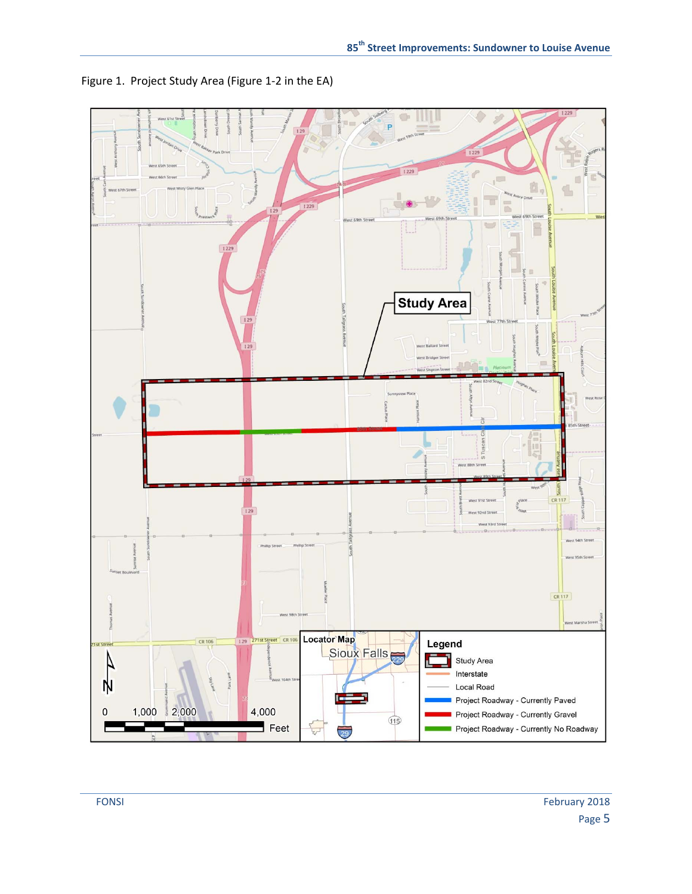

Figure 1. Project Study Area (Figure 1‐2 in the EA)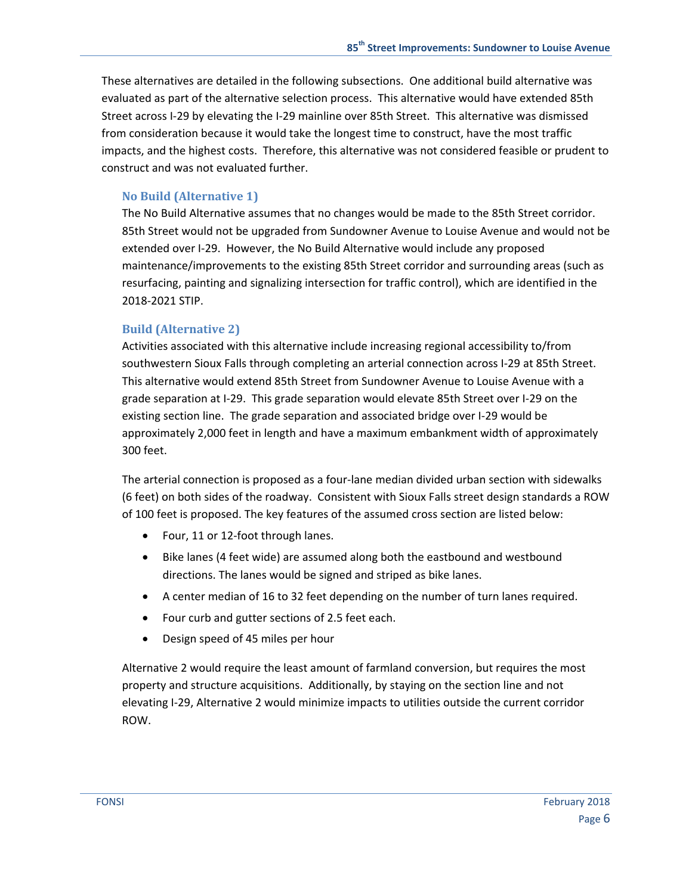These alternatives are detailed in the following subsections. One additional build alternative was evaluated as part of the alternative selection process. This alternative would have extended 85th Street across I‐29 by elevating the I‐29 mainline over 85th Street. This alternative was dismissed from consideration because it would take the longest time to construct, have the most traffic impacts, and the highest costs. Therefore, this alternative was not considered feasible or prudent to construct and was not evaluated further.

#### **No Build (Alternative 1)**

The No Build Alternative assumes that no changes would be made to the 85th Street corridor. 85th Street would not be upgraded from Sundowner Avenue to Louise Avenue and would not be extended over I‐29. However, the No Build Alternative would include any proposed maintenance/improvements to the existing 85th Street corridor and surrounding areas (such as resurfacing, painting and signalizing intersection for traffic control), which are identified in the 2018‐2021 STIP.

#### **Build (Alternative 2)**

Activities associated with this alternative include increasing regional accessibility to/from southwestern Sioux Falls through completing an arterial connection across I‐29 at 85th Street. This alternative would extend 85th Street from Sundowner Avenue to Louise Avenue with a grade separation at I‐29. This grade separation would elevate 85th Street over I‐29 on the existing section line. The grade separation and associated bridge over I‐29 would be approximately 2,000 feet in length and have a maximum embankment width of approximately 300 feet.

The arterial connection is proposed as a four‐lane median divided urban section with sidewalks (6 feet) on both sides of the roadway. Consistent with Sioux Falls street design standards a ROW of 100 feet is proposed. The key features of the assumed cross section are listed below:

- Four, 11 or 12-foot through lanes.
- Bike lanes (4 feet wide) are assumed along both the eastbound and westbound directions. The lanes would be signed and striped as bike lanes.
- A center median of 16 to 32 feet depending on the number of turn lanes required.
- Four curb and gutter sections of 2.5 feet each.
- Design speed of 45 miles per hour

Alternative 2 would require the least amount of farmland conversion, but requires the most property and structure acquisitions. Additionally, by staying on the section line and not elevating I‐29, Alternative 2 would minimize impacts to utilities outside the current corridor ROW.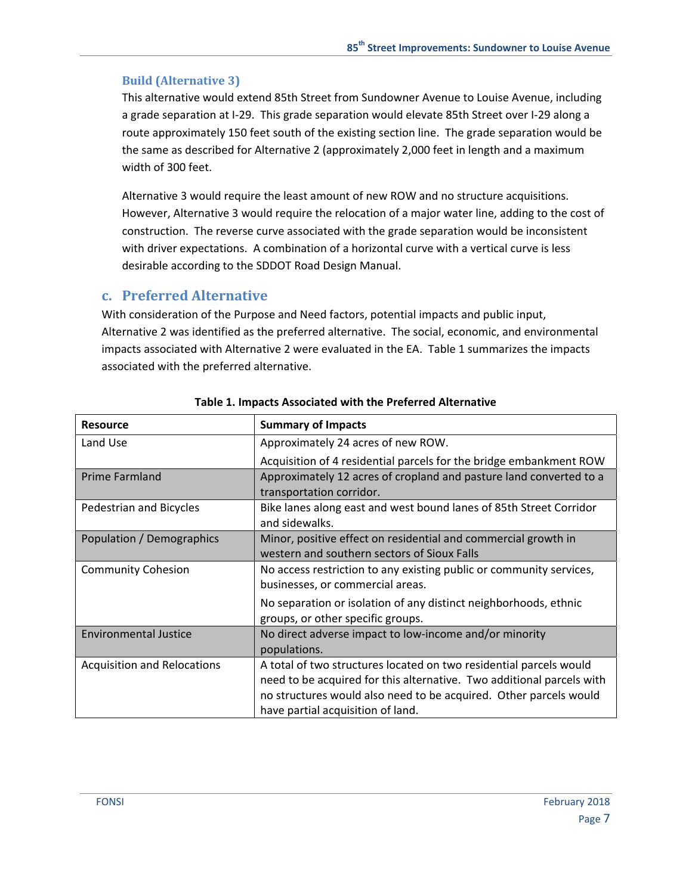### **Build (Alternative 3)**

This alternative would extend 85th Street from Sundowner Avenue to Louise Avenue, including a grade separation at I‐29. This grade separation would elevate 85th Street over I‐29 along a route approximately 150 feet south of the existing section line. The grade separation would be the same as described for Alternative 2 (approximately 2,000 feet in length and a maximum width of 300 feet.

Alternative 3 would require the least amount of new ROW and no structure acquisitions. However, Alternative 3 would require the relocation of a major water line, adding to the cost of construction. The reverse curve associated with the grade separation would be inconsistent with driver expectations. A combination of a horizontal curve with a vertical curve is less desirable according to the SDDOT Road Design Manual.

### **c. Preferred Alternative**

With consideration of the Purpose and Need factors, potential impacts and public input, Alternative 2 was identified as the preferred alternative. The social, economic, and environmental impacts associated with Alternative 2 were evaluated in the EA. Table 1 summarizes the impacts associated with the preferred alternative.

| <b>Resource</b>                    | <b>Summary of Impacts</b>                                                                      |  |  |
|------------------------------------|------------------------------------------------------------------------------------------------|--|--|
| Land Use                           | Approximately 24 acres of new ROW.                                                             |  |  |
|                                    | Acquisition of 4 residential parcels for the bridge embankment ROW                             |  |  |
| Prime Farmland                     | Approximately 12 acres of cropland and pasture land converted to a<br>transportation corridor. |  |  |
| Pedestrian and Bicycles            | Bike lanes along east and west bound lanes of 85th Street Corridor                             |  |  |
|                                    | and sidewalks.                                                                                 |  |  |
| Population / Demographics          | Minor, positive effect on residential and commercial growth in                                 |  |  |
|                                    | western and southern sectors of Sioux Falls                                                    |  |  |
| <b>Community Cohesion</b>          | No access restriction to any existing public or community services,                            |  |  |
|                                    | businesses, or commercial areas.                                                               |  |  |
|                                    | No separation or isolation of any distinct neighborhoods, ethnic                               |  |  |
|                                    | groups, or other specific groups.                                                              |  |  |
| <b>Environmental Justice</b>       | No direct adverse impact to low-income and/or minority                                         |  |  |
|                                    | populations.                                                                                   |  |  |
| <b>Acquisition and Relocations</b> | A total of two structures located on two residential parcels would                             |  |  |
|                                    | need to be acquired for this alternative. Two additional parcels with                          |  |  |
|                                    | no structures would also need to be acquired. Other parcels would                              |  |  |
|                                    | have partial acquisition of land.                                                              |  |  |

#### **Table 1. Impacts Associated with the Preferred Alternative**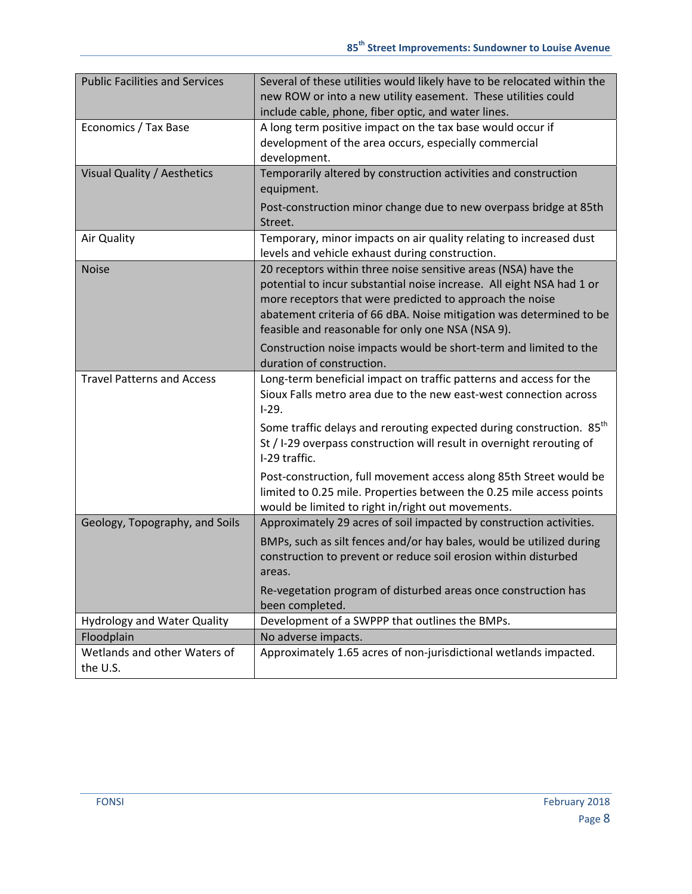| <b>Public Facilities and Services</b>    | Several of these utilities would likely have to be relocated within the<br>new ROW or into a new utility easement. These utilities could<br>include cable, phone, fiber optic, and water lines.                                                                                                                                 |  |  |
|------------------------------------------|---------------------------------------------------------------------------------------------------------------------------------------------------------------------------------------------------------------------------------------------------------------------------------------------------------------------------------|--|--|
| Economics / Tax Base                     | A long term positive impact on the tax base would occur if<br>development of the area occurs, especially commercial<br>development.                                                                                                                                                                                             |  |  |
| Visual Quality / Aesthetics              | Temporarily altered by construction activities and construction<br>equipment.                                                                                                                                                                                                                                                   |  |  |
|                                          | Post-construction minor change due to new overpass bridge at 85th<br>Street.                                                                                                                                                                                                                                                    |  |  |
| Air Quality                              | Temporary, minor impacts on air quality relating to increased dust<br>levels and vehicle exhaust during construction.                                                                                                                                                                                                           |  |  |
| <b>Noise</b>                             | 20 receptors within three noise sensitive areas (NSA) have the<br>potential to incur substantial noise increase. All eight NSA had 1 or<br>more receptors that were predicted to approach the noise<br>abatement criteria of 66 dBA. Noise mitigation was determined to be<br>feasible and reasonable for only one NSA (NSA 9). |  |  |
|                                          | Construction noise impacts would be short-term and limited to the<br>duration of construction.                                                                                                                                                                                                                                  |  |  |
| <b>Travel Patterns and Access</b>        | Long-term beneficial impact on traffic patterns and access for the<br>Sioux Falls metro area due to the new east-west connection across<br>$I-29.$                                                                                                                                                                              |  |  |
|                                          | Some traffic delays and rerouting expected during construction. 85 <sup>th</sup><br>St / I-29 overpass construction will result in overnight rerouting of<br>I-29 traffic.                                                                                                                                                      |  |  |
|                                          | Post-construction, full movement access along 85th Street would be<br>limited to 0.25 mile. Properties between the 0.25 mile access points<br>would be limited to right in/right out movements.                                                                                                                                 |  |  |
| Geology, Topography, and Soils           | Approximately 29 acres of soil impacted by construction activities.                                                                                                                                                                                                                                                             |  |  |
|                                          | BMPs, such as silt fences and/or hay bales, would be utilized during<br>construction to prevent or reduce soil erosion within disturbed<br>areas.                                                                                                                                                                               |  |  |
|                                          | Re-vegetation program of disturbed areas once construction has<br>been completed.                                                                                                                                                                                                                                               |  |  |
| <b>Hydrology and Water Quality</b>       | Development of a SWPPP that outlines the BMPs.                                                                                                                                                                                                                                                                                  |  |  |
| Floodplain                               | No adverse impacts.                                                                                                                                                                                                                                                                                                             |  |  |
| Wetlands and other Waters of<br>the U.S. | Approximately 1.65 acres of non-jurisdictional wetlands impacted.                                                                                                                                                                                                                                                               |  |  |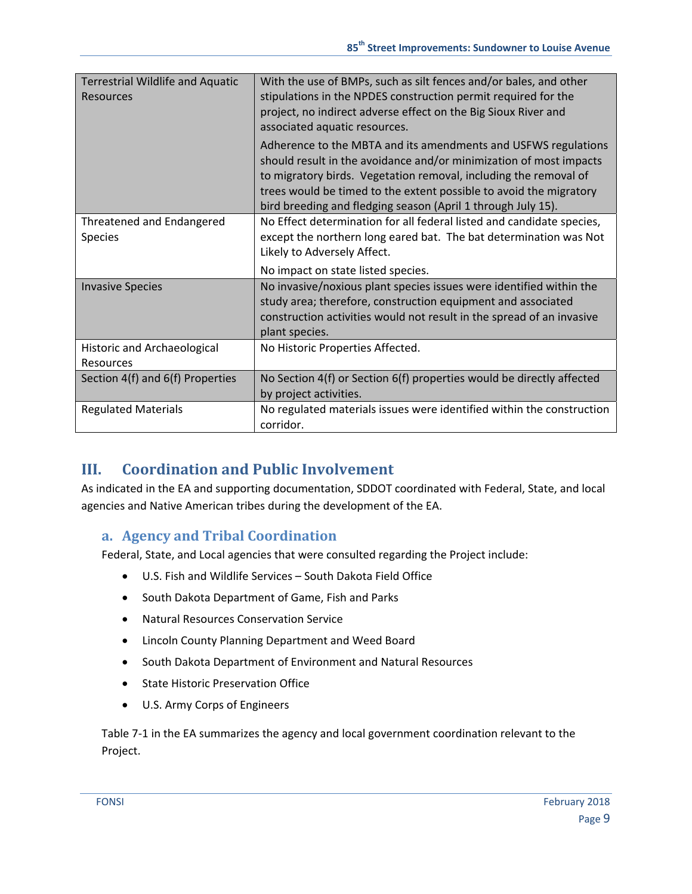| <b>Terrestrial Wildlife and Aquatic</b><br><b>Resources</b> | With the use of BMPs, such as silt fences and/or bales, and other<br>stipulations in the NPDES construction permit required for the<br>project, no indirect adverse effect on the Big Sioux River and<br>associated aquatic resources.                                                                                                         |  |  |
|-------------------------------------------------------------|------------------------------------------------------------------------------------------------------------------------------------------------------------------------------------------------------------------------------------------------------------------------------------------------------------------------------------------------|--|--|
|                                                             | Adherence to the MBTA and its amendments and USFWS regulations<br>should result in the avoidance and/or minimization of most impacts<br>to migratory birds. Vegetation removal, including the removal of<br>trees would be timed to the extent possible to avoid the migratory<br>bird breeding and fledging season (April 1 through July 15). |  |  |
| Threatened and Endangered<br>Species                        | No Effect determination for all federal listed and candidate species,<br>except the northern long eared bat. The bat determination was Not<br>Likely to Adversely Affect.                                                                                                                                                                      |  |  |
|                                                             | No impact on state listed species.                                                                                                                                                                                                                                                                                                             |  |  |
| <b>Invasive Species</b>                                     | No invasive/noxious plant species issues were identified within the<br>study area; therefore, construction equipment and associated<br>construction activities would not result in the spread of an invasive<br>plant species.                                                                                                                 |  |  |
| Historic and Archaeological<br>Resources                    | No Historic Properties Affected.                                                                                                                                                                                                                                                                                                               |  |  |
| Section 4(f) and 6(f) Properties                            | No Section 4(f) or Section 6(f) properties would be directly affected<br>by project activities.                                                                                                                                                                                                                                                |  |  |
| <b>Regulated Materials</b>                                  | No regulated materials issues were identified within the construction<br>corridor.                                                                                                                                                                                                                                                             |  |  |

### **III. Coordination and Public Involvement**

As indicated in the EA and supporting documentation, SDDOT coordinated with Federal, State, and local agencies and Native American tribes during the development of the EA.

### **a. Agency and Tribal Coordination**

Federal, State, and Local agencies that were consulted regarding the Project include:

- U.S. Fish and Wildlife Services South Dakota Field Office
- South Dakota Department of Game, Fish and Parks
- Natural Resources Conservation Service
- Lincoln County Planning Department and Weed Board
- South Dakota Department of Environment and Natural Resources
- State Historic Preservation Office
- U.S. Army Corps of Engineers

Table 7‐1 in the EA summarizes the agency and local government coordination relevant to the Project.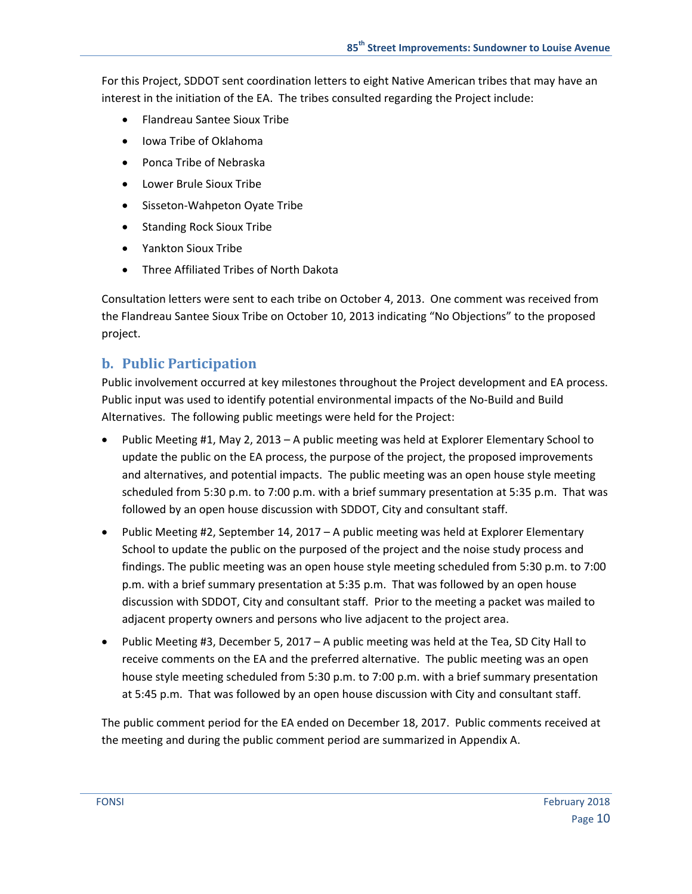For this Project, SDDOT sent coordination letters to eight Native American tribes that may have an interest in the initiation of the EA. The tribes consulted regarding the Project include:

- Flandreau Santee Sioux Tribe
- Iowa Tribe of Oklahoma
- Ponca Tribe of Nebraska
- Lower Brule Sioux Tribe
- Sisseton-Wahpeton Oyate Tribe
- Standing Rock Sioux Tribe
- Yankton Sioux Tribe
- Three Affiliated Tribes of North Dakota

Consultation letters were sent to each tribe on October 4, 2013. One comment was received from the Flandreau Santee Sioux Tribe on October 10, 2013 indicating "No Objections" to the proposed project.

#### **b. Public Participation**

Public involvement occurred at key milestones throughout the Project development and EA process. Public input was used to identify potential environmental impacts of the No‐Build and Build Alternatives. The following public meetings were held for the Project:

- Public Meeting #1, May 2, 2013 A public meeting was held at Explorer Elementary School to update the public on the EA process, the purpose of the project, the proposed improvements and alternatives, and potential impacts. The public meeting was an open house style meeting scheduled from 5:30 p.m. to 7:00 p.m. with a brief summary presentation at 5:35 p.m. That was followed by an open house discussion with SDDOT, City and consultant staff.
- Public Meeting #2, September 14, 2017 A public meeting was held at Explorer Elementary School to update the public on the purposed of the project and the noise study process and findings. The public meeting was an open house style meeting scheduled from 5:30 p.m. to 7:00 p.m. with a brief summary presentation at 5:35 p.m. That was followed by an open house discussion with SDDOT, City and consultant staff. Prior to the meeting a packet was mailed to adjacent property owners and persons who live adjacent to the project area.
- Public Meeting  $#3$ , December 5, 2017 A public meeting was held at the Tea, SD City Hall to receive comments on the EA and the preferred alternative. The public meeting was an open house style meeting scheduled from 5:30 p.m. to 7:00 p.m. with a brief summary presentation at 5:45 p.m. That was followed by an open house discussion with City and consultant staff.

The public comment period for the EA ended on December 18, 2017. Public comments received at the meeting and during the public comment period are summarized in Appendix A.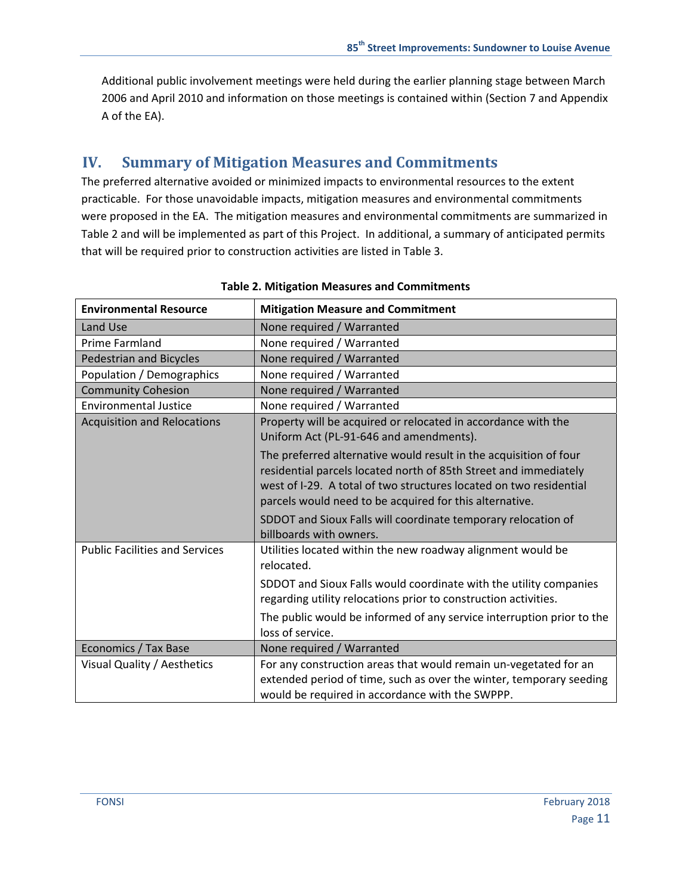Additional public involvement meetings were held during the earlier planning stage between March 2006 and April 2010 and information on those meetings is contained within (Section 7 and Appendix A of the EA).

## **IV. Summary of Mitigation Measures and Commitments**

The preferred alternative avoided or minimized impacts to environmental resources to the extent practicable. For those unavoidable impacts, mitigation measures and environmental commitments were proposed in the EA. The mitigation measures and environmental commitments are summarized in Table 2 and will be implemented as part of this Project. In additional, a summary of anticipated permits that will be required prior to construction activities are listed in Table 3.

| <b>Environmental Resource</b>         | <b>Mitigation Measure and Commitment</b>                                                                                                                                                                                                                               |  |  |
|---------------------------------------|------------------------------------------------------------------------------------------------------------------------------------------------------------------------------------------------------------------------------------------------------------------------|--|--|
| Land Use                              | None required / Warranted                                                                                                                                                                                                                                              |  |  |
| <b>Prime Farmland</b>                 | None required / Warranted                                                                                                                                                                                                                                              |  |  |
| <b>Pedestrian and Bicycles</b>        | None required / Warranted                                                                                                                                                                                                                                              |  |  |
| Population / Demographics             | None required / Warranted                                                                                                                                                                                                                                              |  |  |
| <b>Community Cohesion</b>             | None required / Warranted                                                                                                                                                                                                                                              |  |  |
| <b>Environmental Justice</b>          | None required / Warranted                                                                                                                                                                                                                                              |  |  |
| <b>Acquisition and Relocations</b>    | Property will be acquired or relocated in accordance with the<br>Uniform Act (PL-91-646 and amendments).                                                                                                                                                               |  |  |
|                                       | The preferred alternative would result in the acquisition of four<br>residential parcels located north of 85th Street and immediately<br>west of I-29. A total of two structures located on two residential<br>parcels would need to be acquired for this alternative. |  |  |
|                                       | SDDOT and Sioux Falls will coordinate temporary relocation of<br>billboards with owners.                                                                                                                                                                               |  |  |
| <b>Public Facilities and Services</b> | Utilities located within the new roadway alignment would be<br>relocated.                                                                                                                                                                                              |  |  |
|                                       | SDDOT and Sioux Falls would coordinate with the utility companies<br>regarding utility relocations prior to construction activities.                                                                                                                                   |  |  |
|                                       | The public would be informed of any service interruption prior to the<br>loss of service.                                                                                                                                                                              |  |  |
| <b>Economics / Tax Base</b>           | None required / Warranted                                                                                                                                                                                                                                              |  |  |
| Visual Quality / Aesthetics           | For any construction areas that would remain un-vegetated for an<br>extended period of time, such as over the winter, temporary seeding<br>would be required in accordance with the SWPPP.                                                                             |  |  |

#### **Table 2. Mitigation Measures and Commitments**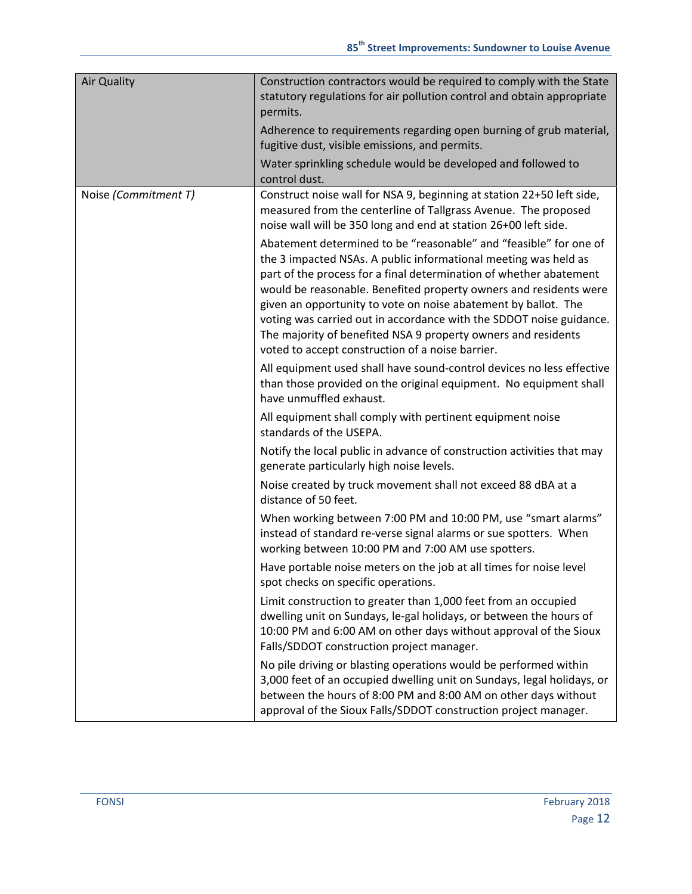| <b>Air Quality</b>   | Construction contractors would be required to comply with the State<br>statutory regulations for air pollution control and obtain appropriate<br>permits.<br>Adherence to requirements regarding open burning of grub material,<br>fugitive dust, visible emissions, and permits.<br>Water sprinkling schedule would be developed and followed to                                                                                                                                                                                                                                                                                                                                                                                                                                                                                    |
|----------------------|--------------------------------------------------------------------------------------------------------------------------------------------------------------------------------------------------------------------------------------------------------------------------------------------------------------------------------------------------------------------------------------------------------------------------------------------------------------------------------------------------------------------------------------------------------------------------------------------------------------------------------------------------------------------------------------------------------------------------------------------------------------------------------------------------------------------------------------|
|                      | control dust.                                                                                                                                                                                                                                                                                                                                                                                                                                                                                                                                                                                                                                                                                                                                                                                                                        |
| Noise (Commitment T) | Construct noise wall for NSA 9, beginning at station 22+50 left side,<br>measured from the centerline of Tallgrass Avenue. The proposed<br>noise wall will be 350 long and end at station 26+00 left side.<br>Abatement determined to be "reasonable" and "feasible" for one of<br>the 3 impacted NSAs. A public informational meeting was held as<br>part of the process for a final determination of whether abatement<br>would be reasonable. Benefited property owners and residents were<br>given an opportunity to vote on noise abatement by ballot. The<br>voting was carried out in accordance with the SDDOT noise guidance.<br>The majority of benefited NSA 9 property owners and residents<br>voted to accept construction of a noise barrier.<br>All equipment used shall have sound-control devices no less effective |
|                      | than those provided on the original equipment. No equipment shall<br>have unmuffled exhaust.                                                                                                                                                                                                                                                                                                                                                                                                                                                                                                                                                                                                                                                                                                                                         |
|                      | All equipment shall comply with pertinent equipment noise<br>standards of the USEPA.                                                                                                                                                                                                                                                                                                                                                                                                                                                                                                                                                                                                                                                                                                                                                 |
|                      | Notify the local public in advance of construction activities that may<br>generate particularly high noise levels.                                                                                                                                                                                                                                                                                                                                                                                                                                                                                                                                                                                                                                                                                                                   |
|                      | Noise created by truck movement shall not exceed 88 dBA at a<br>distance of 50 feet.                                                                                                                                                                                                                                                                                                                                                                                                                                                                                                                                                                                                                                                                                                                                                 |
|                      | When working between 7:00 PM and 10:00 PM, use "smart alarms"<br>instead of standard re-verse signal alarms or sue spotters. When<br>working between 10:00 PM and 7:00 AM use spotters.                                                                                                                                                                                                                                                                                                                                                                                                                                                                                                                                                                                                                                              |
|                      | Have portable noise meters on the job at all times for noise level<br>spot checks on specific operations.                                                                                                                                                                                                                                                                                                                                                                                                                                                                                                                                                                                                                                                                                                                            |
|                      | Limit construction to greater than 1,000 feet from an occupied<br>dwelling unit on Sundays, le-gal holidays, or between the hours of<br>10:00 PM and 6:00 AM on other days without approval of the Sioux<br>Falls/SDDOT construction project manager.                                                                                                                                                                                                                                                                                                                                                                                                                                                                                                                                                                                |
|                      | No pile driving or blasting operations would be performed within<br>3,000 feet of an occupied dwelling unit on Sundays, legal holidays, or<br>between the hours of 8:00 PM and 8:00 AM on other days without<br>approval of the Sioux Falls/SDDOT construction project manager.                                                                                                                                                                                                                                                                                                                                                                                                                                                                                                                                                      |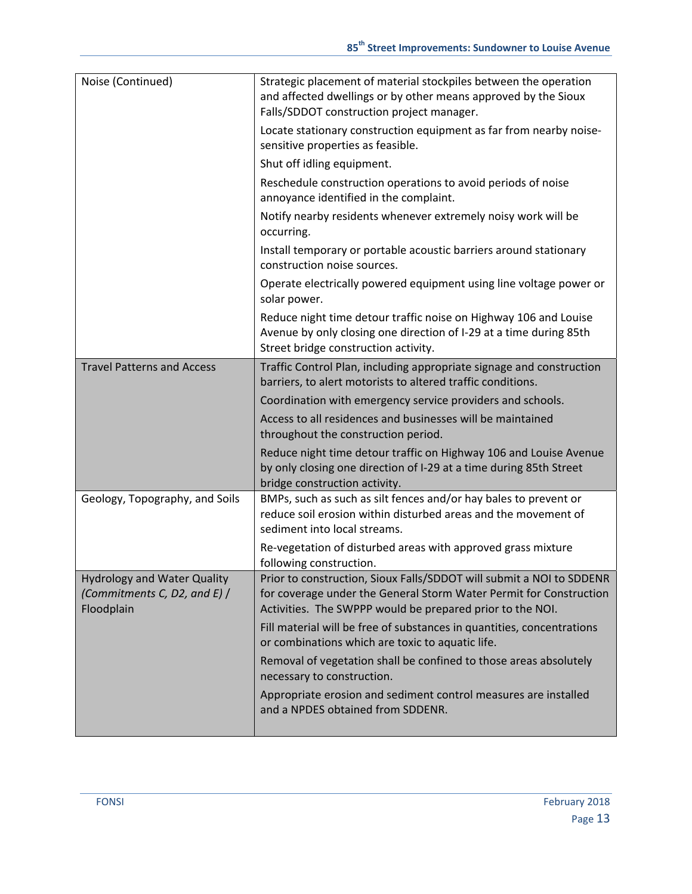| Noise (Continued)                                                                  | Strategic placement of material stockpiles between the operation<br>and affected dwellings or by other means approved by the Sioux<br>Falls/SDDOT construction project manager.                         |  |  |
|------------------------------------------------------------------------------------|---------------------------------------------------------------------------------------------------------------------------------------------------------------------------------------------------------|--|--|
|                                                                                    | Locate stationary construction equipment as far from nearby noise-<br>sensitive properties as feasible.                                                                                                 |  |  |
|                                                                                    | Shut off idling equipment.                                                                                                                                                                              |  |  |
|                                                                                    | Reschedule construction operations to avoid periods of noise<br>annoyance identified in the complaint.                                                                                                  |  |  |
|                                                                                    | Notify nearby residents whenever extremely noisy work will be<br>occurring.                                                                                                                             |  |  |
|                                                                                    | Install temporary or portable acoustic barriers around stationary<br>construction noise sources.                                                                                                        |  |  |
|                                                                                    | Operate electrically powered equipment using line voltage power or<br>solar power.                                                                                                                      |  |  |
|                                                                                    | Reduce night time detour traffic noise on Highway 106 and Louise<br>Avenue by only closing one direction of I-29 at a time during 85th<br>Street bridge construction activity.                          |  |  |
| <b>Travel Patterns and Access</b>                                                  | Traffic Control Plan, including appropriate signage and construction<br>barriers, to alert motorists to altered traffic conditions.                                                                     |  |  |
|                                                                                    | Coordination with emergency service providers and schools.                                                                                                                                              |  |  |
|                                                                                    | Access to all residences and businesses will be maintained<br>throughout the construction period.                                                                                                       |  |  |
|                                                                                    | Reduce night time detour traffic on Highway 106 and Louise Avenue<br>by only closing one direction of I-29 at a time during 85th Street<br>bridge construction activity.                                |  |  |
| Geology, Topography, and Soils                                                     | BMPs, such as such as silt fences and/or hay bales to prevent or<br>reduce soil erosion within disturbed areas and the movement of<br>sediment into local streams.                                      |  |  |
|                                                                                    | Re-vegetation of disturbed areas with approved grass mixture<br>following construction.                                                                                                                 |  |  |
| <b>Hydrology and Water Quality</b><br>(Commitments C, D2, and E) $/$<br>Floodplain | Prior to construction, Sioux Falls/SDDOT will submit a NOI to SDDENR<br>for coverage under the General Storm Water Permit for Construction<br>Activities. The SWPPP would be prepared prior to the NOI. |  |  |
|                                                                                    | Fill material will be free of substances in quantities, concentrations<br>or combinations which are toxic to aquatic life.                                                                              |  |  |
|                                                                                    | Removal of vegetation shall be confined to those areas absolutely<br>necessary to construction.                                                                                                         |  |  |
|                                                                                    | Appropriate erosion and sediment control measures are installed<br>and a NPDES obtained from SDDENR.                                                                                                    |  |  |
|                                                                                    |                                                                                                                                                                                                         |  |  |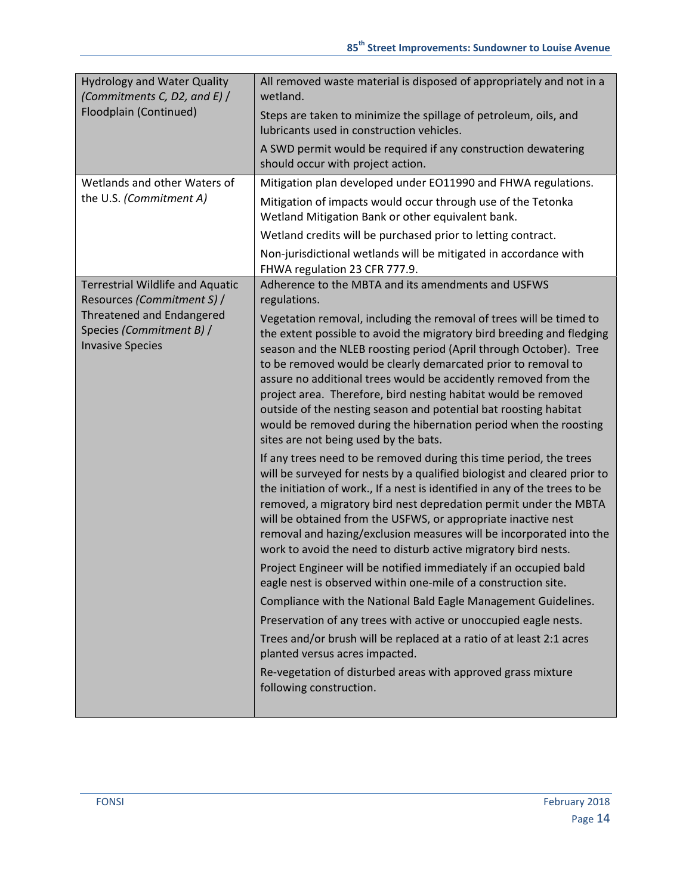| <b>Hydrology and Water Quality</b><br>(Commitments C, D2, and E) /               | All removed waste material is disposed of appropriately and not in a<br>wetland.                                                                                                                                                                                                                                                                                                                                                                                                                                                                                                                                                                                                                                                                                                                                                                                                                  |  |  |
|----------------------------------------------------------------------------------|---------------------------------------------------------------------------------------------------------------------------------------------------------------------------------------------------------------------------------------------------------------------------------------------------------------------------------------------------------------------------------------------------------------------------------------------------------------------------------------------------------------------------------------------------------------------------------------------------------------------------------------------------------------------------------------------------------------------------------------------------------------------------------------------------------------------------------------------------------------------------------------------------|--|--|
| Floodplain (Continued)                                                           | Steps are taken to minimize the spillage of petroleum, oils, and<br>lubricants used in construction vehicles.                                                                                                                                                                                                                                                                                                                                                                                                                                                                                                                                                                                                                                                                                                                                                                                     |  |  |
|                                                                                  | A SWD permit would be required if any construction dewatering<br>should occur with project action.                                                                                                                                                                                                                                                                                                                                                                                                                                                                                                                                                                                                                                                                                                                                                                                                |  |  |
| Wetlands and other Waters of                                                     | Mitigation plan developed under EO11990 and FHWA regulations.                                                                                                                                                                                                                                                                                                                                                                                                                                                                                                                                                                                                                                                                                                                                                                                                                                     |  |  |
| the U.S. (Commitment A)                                                          | Mitigation of impacts would occur through use of the Tetonka<br>Wetland Mitigation Bank or other equivalent bank.                                                                                                                                                                                                                                                                                                                                                                                                                                                                                                                                                                                                                                                                                                                                                                                 |  |  |
|                                                                                  | Wetland credits will be purchased prior to letting contract.                                                                                                                                                                                                                                                                                                                                                                                                                                                                                                                                                                                                                                                                                                                                                                                                                                      |  |  |
|                                                                                  | Non-jurisdictional wetlands will be mitigated in accordance with<br>FHWA regulation 23 CFR 777.9.                                                                                                                                                                                                                                                                                                                                                                                                                                                                                                                                                                                                                                                                                                                                                                                                 |  |  |
| <b>Terrestrial Wildlife and Aquatic</b>                                          | Adherence to the MBTA and its amendments and USFWS                                                                                                                                                                                                                                                                                                                                                                                                                                                                                                                                                                                                                                                                                                                                                                                                                                                |  |  |
| Resources (Commitment S) /                                                       | regulations.                                                                                                                                                                                                                                                                                                                                                                                                                                                                                                                                                                                                                                                                                                                                                                                                                                                                                      |  |  |
| Threatened and Endangered<br>Species (Commitment B) /<br><b>Invasive Species</b> | Vegetation removal, including the removal of trees will be timed to<br>the extent possible to avoid the migratory bird breeding and fledging<br>season and the NLEB roosting period (April through October). Tree<br>to be removed would be clearly demarcated prior to removal to<br>assure no additional trees would be accidently removed from the<br>project area. Therefore, bird nesting habitat would be removed<br>outside of the nesting season and potential bat roosting habitat<br>would be removed during the hibernation period when the roosting<br>sites are not being used by the bats.                                                                                                                                                                                                                                                                                          |  |  |
|                                                                                  | If any trees need to be removed during this time period, the trees<br>will be surveyed for nests by a qualified biologist and cleared prior to<br>the initiation of work., If a nest is identified in any of the trees to be<br>removed, a migratory bird nest depredation permit under the MBTA<br>will be obtained from the USFWS, or appropriate inactive nest<br>removal and hazing/exclusion measures will be incorporated into the<br>work to avoid the need to disturb active migratory bird nests.<br>Project Engineer will be notified immediately if an occupied bald<br>eagle nest is observed within one-mile of a construction site.<br>Compliance with the National Bald Eagle Management Guidelines.<br>Preservation of any trees with active or unoccupied eagle nests.<br>Trees and/or brush will be replaced at a ratio of at least 2:1 acres<br>planted versus acres impacted. |  |  |
|                                                                                  | Re-vegetation of disturbed areas with approved grass mixture<br>following construction.                                                                                                                                                                                                                                                                                                                                                                                                                                                                                                                                                                                                                                                                                                                                                                                                           |  |  |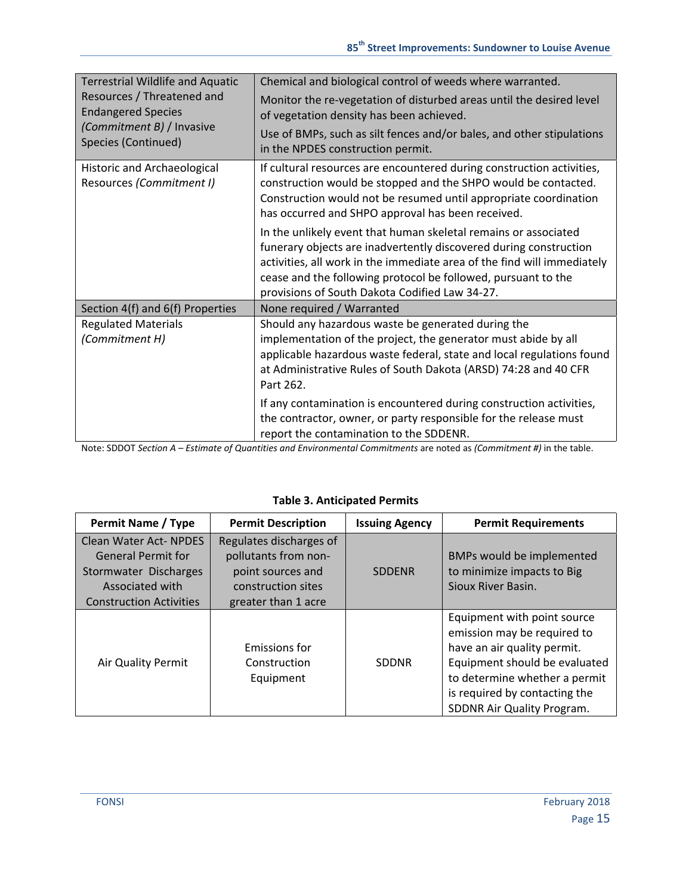| <b>Terrestrial Wildlife and Aquatic</b>                 | Chemical and biological control of weeds where warranted.                                                                                                                                                                                                                                                                                                                                                |  |
|---------------------------------------------------------|----------------------------------------------------------------------------------------------------------------------------------------------------------------------------------------------------------------------------------------------------------------------------------------------------------------------------------------------------------------------------------------------------------|--|
| Resources / Threatened and<br><b>Endangered Species</b> | Monitor the re-vegetation of disturbed areas until the desired level<br>of vegetation density has been achieved.                                                                                                                                                                                                                                                                                         |  |
| (Commitment B) / Invasive<br>Species (Continued)        | Use of BMPs, such as silt fences and/or bales, and other stipulations<br>in the NPDES construction permit.                                                                                                                                                                                                                                                                                               |  |
| Historic and Archaeological<br>Resources (Commitment I) | If cultural resources are encountered during construction activities,<br>construction would be stopped and the SHPO would be contacted.<br>Construction would not be resumed until appropriate coordination<br>has occurred and SHPO approval has been received.<br>In the unlikely event that human skeletal remains or associated<br>funerary objects are inadvertently discovered during construction |  |
|                                                         | activities, all work in the immediate area of the find will immediately<br>cease and the following protocol be followed, pursuant to the<br>provisions of South Dakota Codified Law 34-27.                                                                                                                                                                                                               |  |
| Section 4(f) and 6(f) Properties                        | None required / Warranted                                                                                                                                                                                                                                                                                                                                                                                |  |
| <b>Regulated Materials</b><br>(Commitment H)            | Should any hazardous waste be generated during the<br>implementation of the project, the generator must abide by all<br>applicable hazardous waste federal, state and local regulations found<br>at Administrative Rules of South Dakota (ARSD) 74:28 and 40 CFR<br>Part 262.                                                                                                                            |  |
|                                                         | If any contamination is encountered during construction activities,<br>the contractor, owner, or party responsible for the release must<br>report the contamination to the SDDENR.                                                                                                                                                                                                                       |  |

Note: SDDOT *Section A – Estimate of Quantities and Environmental Commitments* are noted as *(Commitment #)* in the table.

| Permit Name / Type                                                                                                                       | <b>Permit Description</b>                                                                                         | <b>Issuing Agency</b> | <b>Permit Requirements</b>                                                                                                                                                                                                 |
|------------------------------------------------------------------------------------------------------------------------------------------|-------------------------------------------------------------------------------------------------------------------|-----------------------|----------------------------------------------------------------------------------------------------------------------------------------------------------------------------------------------------------------------------|
| <b>Clean Water Act- NPDES</b><br><b>General Permit for</b><br>Stormwater Discharges<br>Associated with<br><b>Construction Activities</b> | Regulates discharges of<br>pollutants from non-<br>point sources and<br>construction sites<br>greater than 1 acre | <b>SDDENR</b>         | BMPs would be implemented<br>to minimize impacts to Big<br>Sioux River Basin.                                                                                                                                              |
| Air Quality Permit                                                                                                                       | Emissions for<br>Construction<br>Equipment                                                                        | <b>SDDNR</b>          | Equipment with point source<br>emission may be required to<br>have an air quality permit.<br>Equipment should be evaluated<br>to determine whether a permit<br>is required by contacting the<br>SDDNR Air Quality Program. |

### **Table 3. Anticipated Permits**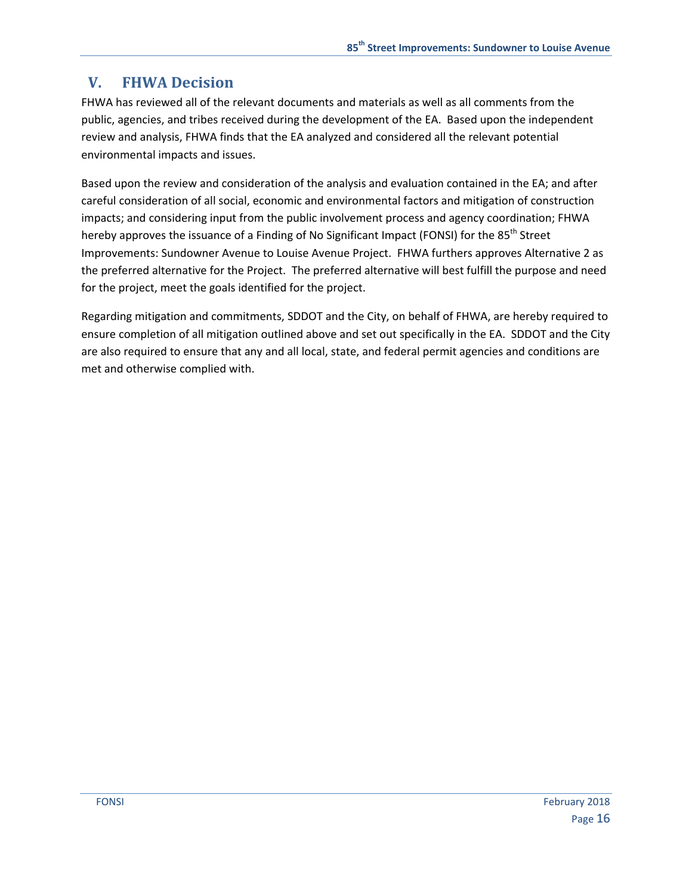# **V. FHWA Decision**

FHWA has reviewed all of the relevant documents and materials as well as all comments from the public, agencies, and tribes received during the development of the EA. Based upon the independent review and analysis, FHWA finds that the EA analyzed and considered all the relevant potential environmental impacts and issues.

Based upon the review and consideration of the analysis and evaluation contained in the EA; and after careful consideration of all social, economic and environmental factors and mitigation of construction impacts; and considering input from the public involvement process and agency coordination; FHWA hereby approves the issuance of a Finding of No Significant Impact (FONSI) for the 85<sup>th</sup> Street Improvements: Sundowner Avenue to Louise Avenue Project. FHWA furthers approves Alternative 2 as the preferred alternative for the Project. The preferred alternative will best fulfill the purpose and need for the project, meet the goals identified for the project.

Regarding mitigation and commitments, SDDOT and the City, on behalf of FHWA, are hereby required to ensure completion of all mitigation outlined above and set out specifically in the EA. SDDOT and the City are also required to ensure that any and all local, state, and federal permit agencies and conditions are met and otherwise complied with.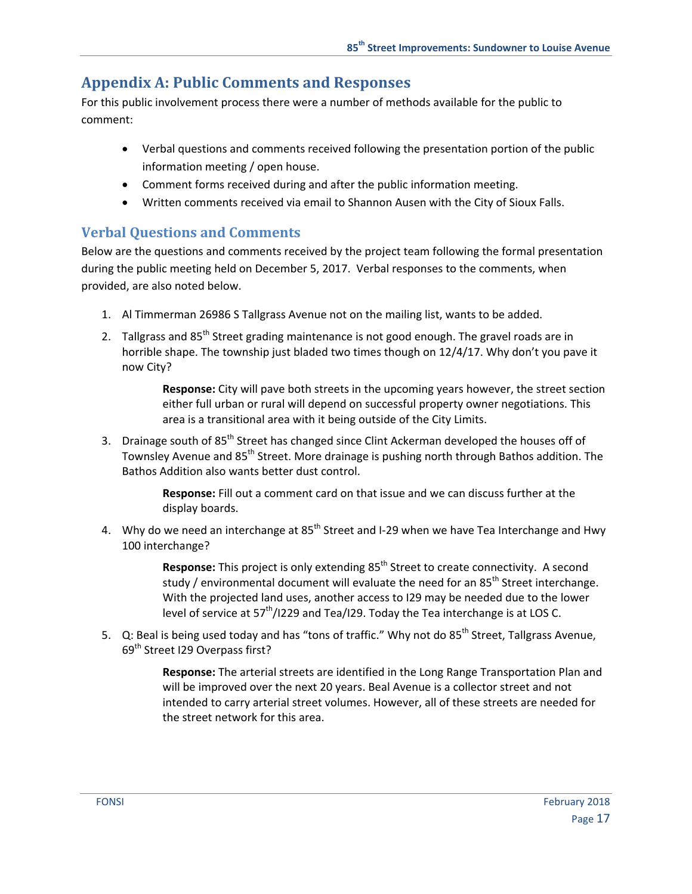### **Appendix A: Public Comments and Responses**

For this public involvement process there were a number of methods available for the public to comment:

- Verbal questions and comments received following the presentation portion of the public information meeting / open house.
- Comment forms received during and after the public information meeting.
- Written comments received via email to Shannon Ausen with the City of Sioux Falls.

### **Verbal Questions and Comments**

Below are the questions and comments received by the project team following the formal presentation during the public meeting held on December 5, 2017. Verbal responses to the comments, when provided, are also noted below.

- 1. Al Timmerman 26986 S Tallgrass Avenue not on the mailing list, wants to be added.
- 2. Tallgrass and  $85<sup>th</sup>$  Street grading maintenance is not good enough. The gravel roads are in horrible shape. The township just bladed two times though on 12/4/17. Why don't you pave it now City?

**Response:** City will pave both streets in the upcoming years however, the street section either full urban or rural will depend on successful property owner negotiations. This area is a transitional area with it being outside of the City Limits.

3. Drainage south of  $85<sup>th</sup>$  Street has changed since Clint Ackerman developed the houses off of Townsley Avenue and 85<sup>th</sup> Street. More drainage is pushing north through Bathos addition. The Bathos Addition also wants better dust control.

> **Response:** Fill out a comment card on that issue and we can discuss further at the display boards.

4. Why do we need an interchange at  $85<sup>th</sup>$  Street and I-29 when we have Tea Interchange and Hwy 100 interchange?

> **Response:** This project is only extending 85<sup>th</sup> Street to create connectivity. A second study / environmental document will evaluate the need for an  $85<sup>th</sup>$  Street interchange. With the projected land uses, another access to I29 may be needed due to the lower level of service at 57<sup>th</sup>/I229 and Tea/I29. Today the Tea interchange is at LOS C.

5. Q: Beal is being used today and has "tons of traffic." Why not do 85<sup>th</sup> Street, Tallgrass Avenue, 69<sup>th</sup> Street I29 Overpass first?

> **Response:** The arterial streets are identified in the Long Range Transportation Plan and will be improved over the next 20 years. Beal Avenue is a collector street and not intended to carry arterial street volumes. However, all of these streets are needed for the street network for this area.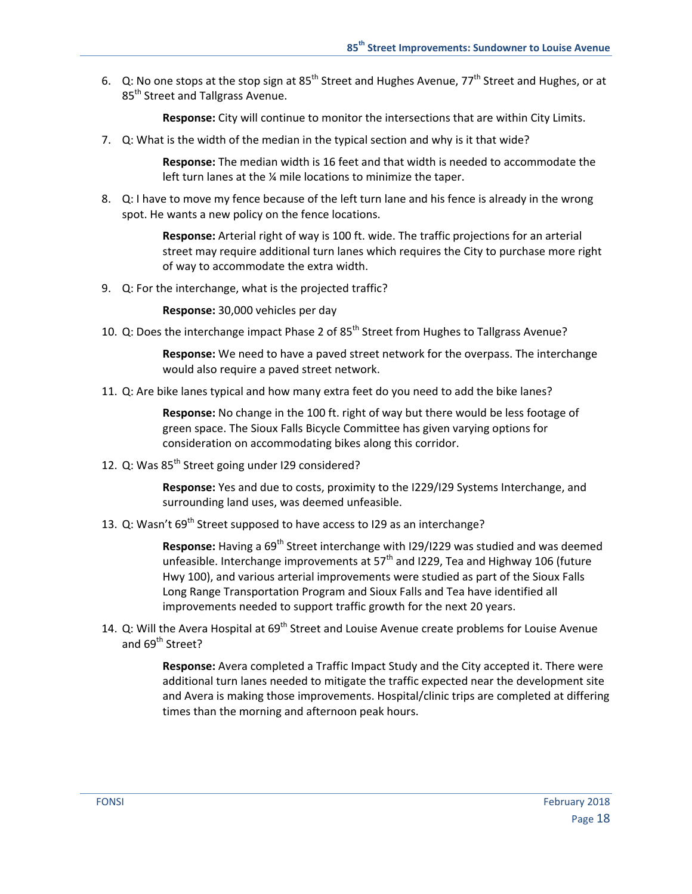6. Q: No one stops at the stop sign at  $85^{th}$  Street and Hughes Avenue, 77<sup>th</sup> Street and Hughes, or at 85<sup>th</sup> Street and Tallgrass Avenue.

**Response:** City will continue to monitor the intersections that are within City Limits.

7. Q: What is the width of the median in the typical section and why is it that wide?

**Response:** The median width is 16 feet and that width is needed to accommodate the left turn lanes at the ¼ mile locations to minimize the taper.

8. Q: I have to move my fence because of the left turn lane and his fence is already in the wrong spot. He wants a new policy on the fence locations.

> **Response:** Arterial right of way is 100 ft. wide. The traffic projections for an arterial street may require additional turn lanes which requires the City to purchase more right of way to accommodate the extra width.

9. Q: For the interchange, what is the projected traffic?

**Response:** 30,000 vehicles per day

10. Q: Does the interchange impact Phase 2 of 85<sup>th</sup> Street from Hughes to Tallgrass Avenue?

**Response:** We need to have a paved street network for the overpass. The interchange would also require a paved street network.

11. Q: Are bike lanes typical and how many extra feet do you need to add the bike lanes?

**Response:** No change in the 100 ft. right of way but there would be less footage of green space. The Sioux Falls Bicycle Committee has given varying options for consideration on accommodating bikes along this corridor.

12. Q: Was 85<sup>th</sup> Street going under I29 considered?

**Response:** Yes and due to costs, proximity to the I229/I29 Systems Interchange, and surrounding land uses, was deemed unfeasible.

13. Q: Wasn't  $69^{th}$  Street supposed to have access to I29 as an interchange?

**Response:** Having a 69<sup>th</sup> Street interchange with I29/I229 was studied and was deemed unfeasible. Interchange improvements at 57<sup>th</sup> and I229, Tea and Highway 106 (future Hwy 100), and various arterial improvements were studied as part of the Sioux Falls Long Range Transportation Program and Sioux Falls and Tea have identified all improvements needed to support traffic growth for the next 20 years.

14. Q: Will the Avera Hospital at 69<sup>th</sup> Street and Louise Avenue create problems for Louise Avenue and 69<sup>th</sup> Street?

> **Response:** Avera completed a Traffic Impact Study and the City accepted it. There were additional turn lanes needed to mitigate the traffic expected near the development site and Avera is making those improvements. Hospital/clinic trips are completed at differing times than the morning and afternoon peak hours.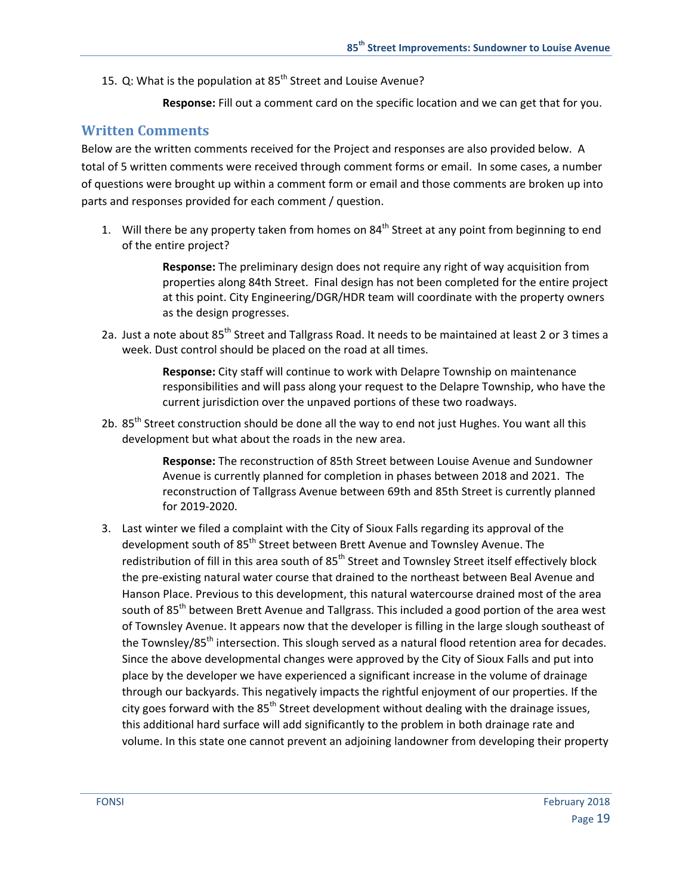15. Q: What is the population at  $85<sup>th</sup>$  Street and Louise Avenue?

**Response:** Fill out a comment card on the specific location and we can get that for you.

#### **Written Comments**

Below are the written comments received for the Project and responses are also provided below. A total of 5 written comments were received through comment forms or email. In some cases, a number of questions were brought up within a comment form or email and those comments are broken up into parts and responses provided for each comment / question.

1. Will there be any property taken from homes on 84<sup>th</sup> Street at any point from beginning to end of the entire project?

> **Response:** The preliminary design does not require any right of way acquisition from properties along 84th Street. Final design has not been completed for the entire project at this point. City Engineering/DGR/HDR team will coordinate with the property owners as the design progresses.

2a. Just a note about 85<sup>th</sup> Street and Tallgrass Road. It needs to be maintained at least 2 or 3 times a week. Dust control should be placed on the road at all times.

> **Response:** City staff will continue to work with Delapre Township on maintenance responsibilities and will pass along your request to the Delapre Township, who have the current jurisdiction over the unpaved portions of these two roadways.

2b. 85<sup>th</sup> Street construction should be done all the way to end not just Hughes. You want all this development but what about the roads in the new area.

> **Response:** The reconstruction of 85th Street between Louise Avenue and Sundowner Avenue is currently planned for completion in phases between 2018 and 2021. The reconstruction of Tallgrass Avenue between 69th and 85th Street is currently planned for 2019‐2020.

3. Last winter we filed a complaint with the City of Sioux Falls regarding its approval of the development south of 85<sup>th</sup> Street between Brett Avenue and Townsley Avenue. The redistribution of fill in this area south of 85<sup>th</sup> Street and Townsley Street itself effectively block the pre‐existing natural water course that drained to the northeast between Beal Avenue and Hanson Place. Previous to this development, this natural watercourse drained most of the area south of 85<sup>th</sup> between Brett Avenue and Tallgrass. This included a good portion of the area west of Townsley Avenue. It appears now that the developer is filling in the large slough southeast of the Townsley/85<sup>th</sup> intersection. This slough served as a natural flood retention area for decades. Since the above developmental changes were approved by the City of Sioux Falls and put into place by the developer we have experienced a significant increase in the volume of drainage through our backyards. This negatively impacts the rightful enjoyment of our properties. If the city goes forward with the  $85<sup>th</sup>$  Street development without dealing with the drainage issues, this additional hard surface will add significantly to the problem in both drainage rate and volume. In this state one cannot prevent an adjoining landowner from developing their property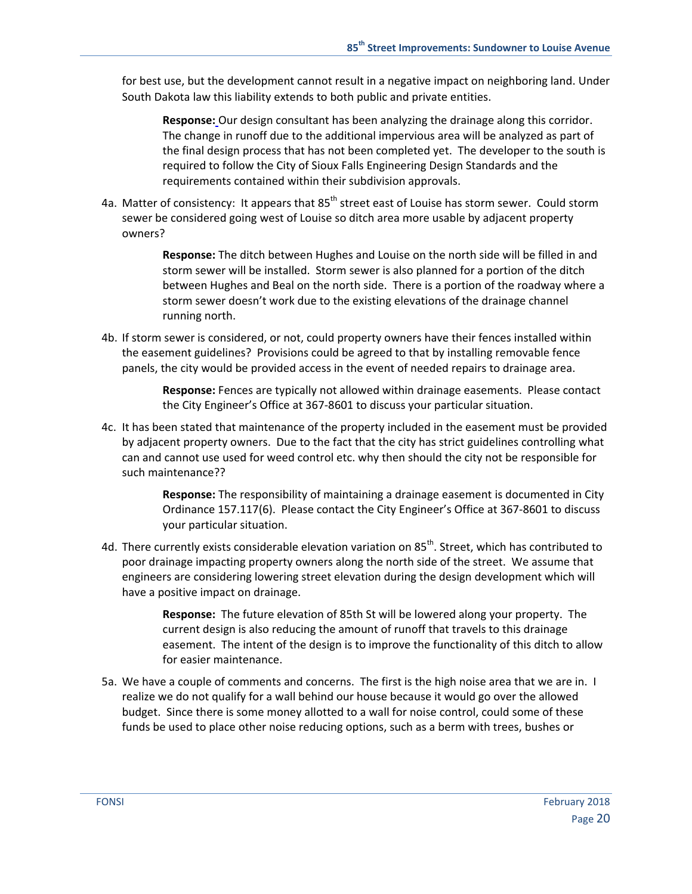for best use, but the development cannot result in a negative impact on neighboring land. Under South Dakota law this liability extends to both public and private entities.

**Response:** Our design consultant has been analyzing the drainage along this corridor. The change in runoff due to the additional impervious area will be analyzed as part of the final design process that has not been completed yet. The developer to the south is required to follow the City of Sioux Falls Engineering Design Standards and the requirements contained within their subdivision approvals.

4a. Matter of consistency: It appears that 85<sup>th</sup> street east of Louise has storm sewer. Could storm sewer be considered going west of Louise so ditch area more usable by adjacent property owners?

> **Response:** The ditch between Hughes and Louise on the north side will be filled in and storm sewer will be installed. Storm sewer is also planned for a portion of the ditch between Hughes and Beal on the north side. There is a portion of the roadway where a storm sewer doesn't work due to the existing elevations of the drainage channel running north.

4b. If storm sewer is considered, or not, could property owners have their fences installed within the easement guidelines? Provisions could be agreed to that by installing removable fence panels, the city would be provided access in the event of needed repairs to drainage area.

> **Response:** Fences are typically not allowed within drainage easements. Please contact the City Engineer's Office at 367‐8601 to discuss your particular situation.

4c. It has been stated that maintenance of the property included in the easement must be provided by adjacent property owners. Due to the fact that the city has strict guidelines controlling what can and cannot use used for weed control etc. why then should the city not be responsible for such maintenance??

> **Response:** The responsibility of maintaining a drainage easement is documented in City Ordinance 157.117(6). Please contact the City Engineer's Office at 367‐8601 to discuss your particular situation.

4d. There currently exists considerable elevation variation on  $85<sup>th</sup>$ . Street, which has contributed to poor drainage impacting property owners along the north side of the street. We assume that engineers are considering lowering street elevation during the design development which will have a positive impact on drainage.

> **Response:** The future elevation of 85th St will be lowered along your property. The current design is also reducing the amount of runoff that travels to this drainage easement. The intent of the design is to improve the functionality of this ditch to allow for easier maintenance.

5a. We have a couple of comments and concerns. The first is the high noise area that we are in. I realize we do not qualify for a wall behind our house because it would go over the allowed budget. Since there is some money allotted to a wall for noise control, could some of these funds be used to place other noise reducing options, such as a berm with trees, bushes or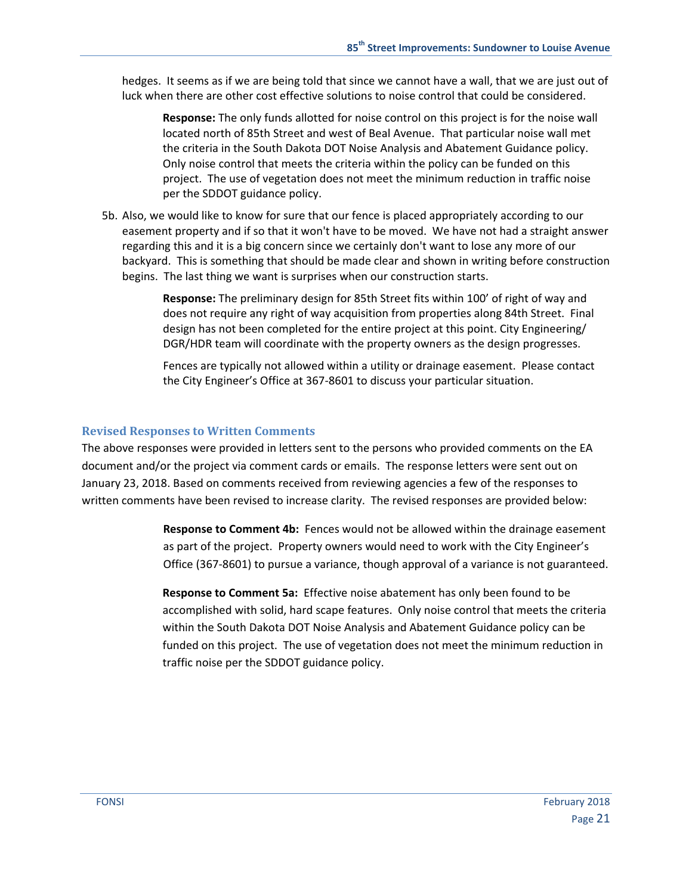hedges. It seems as if we are being told that since we cannot have a wall, that we are just out of luck when there are other cost effective solutions to noise control that could be considered.

**Response:** The only funds allotted for noise control on this project is for the noise wall located north of 85th Street and west of Beal Avenue. That particular noise wall met the criteria in the South Dakota DOT Noise Analysis and Abatement Guidance policy. Only noise control that meets the criteria within the policy can be funded on this project. The use of vegetation does not meet the minimum reduction in traffic noise per the SDDOT guidance policy.

5b. Also, we would like to know for sure that our fence is placed appropriately according to our easement property and if so that it won't have to be moved. We have not had a straight answer regarding this and it is a big concern since we certainly don't want to lose any more of our backyard. This is something that should be made clear and shown in writing before construction begins. The last thing we want is surprises when our construction starts.

> **Response:** The preliminary design for 85th Street fits within 100' of right of way and does not require any right of way acquisition from properties along 84th Street. Final design has not been completed for the entire project at this point. City Engineering/ DGR/HDR team will coordinate with the property owners as the design progresses.

> Fences are typically not allowed within a utility or drainage easement. Please contact the City Engineer's Office at 367‐8601 to discuss your particular situation.

#### **Revised Responses to Written Comments**

The above responses were provided in letters sent to the persons who provided comments on the EA document and/or the project via comment cards or emails. The response letters were sent out on January 23, 2018. Based on comments received from reviewing agencies a few of the responses to written comments have been revised to increase clarity. The revised responses are provided below:

> **Response to Comment 4b:** Fences would not be allowed within the drainage easement as part of the project. Property owners would need to work with the City Engineer's Office (367‐8601) to pursue a variance, though approval of a variance is not guaranteed.

> **Response to Comment 5a:** Effective noise abatement has only been found to be accomplished with solid, hard scape features. Only noise control that meets the criteria within the South Dakota DOT Noise Analysis and Abatement Guidance policy can be funded on this project. The use of vegetation does not meet the minimum reduction in traffic noise per the SDDOT guidance policy.